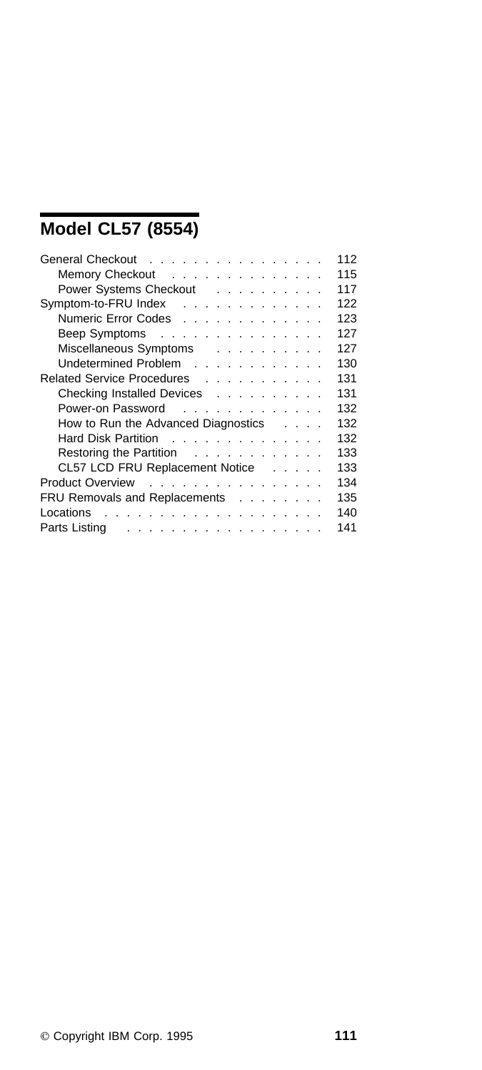# **Model CL57 (8554)**

| General Checkout                                           | 112 |
|------------------------------------------------------------|-----|
| Memory Checkout                                            | 115 |
| Power Systems Checkout                                     | 117 |
| Symptom-to-FRU Index                                       | 122 |
| Numeric Error Codes                                        | 123 |
| Beep Symptoms                                              | 127 |
| Miscellaneous Symptoms                                     | 127 |
| Undetermined Problem                                       | 130 |
| Related Service Procedures                                 | 131 |
| Checking Installed Devices                                 | 131 |
| Power-on Password                                          | 132 |
| How to Run the Advanced Diagnostics                        | 132 |
| Hard Disk Partition                                        | 132 |
| Restoring the Partition                                    | 133 |
| CL57 LCD FRU Replacement Notice                            | 133 |
| Product Overview                                           | 134 |
| FRU Removals and Replacements                              | 135 |
| Locations<br>.                                             | 140 |
| Parts Listing<br>and a construction of the construction of | 141 |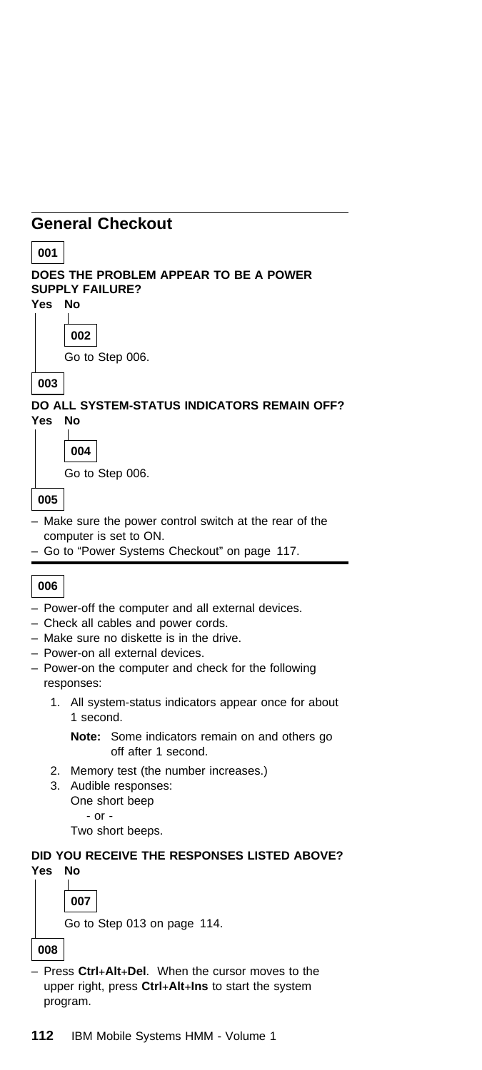### **General Checkout**



Two short beeps.

#### **DID YOU RECEIVE THE RESPONSES LISTED ABOVE? Yes No**

**007** Go to Step 013 on page 114.

**008**

– Press **Ctrl**+**Alt**+**Del**. When the cursor moves to the upper right, press **Ctrl**+**Alt**+**Ins** to start the system program.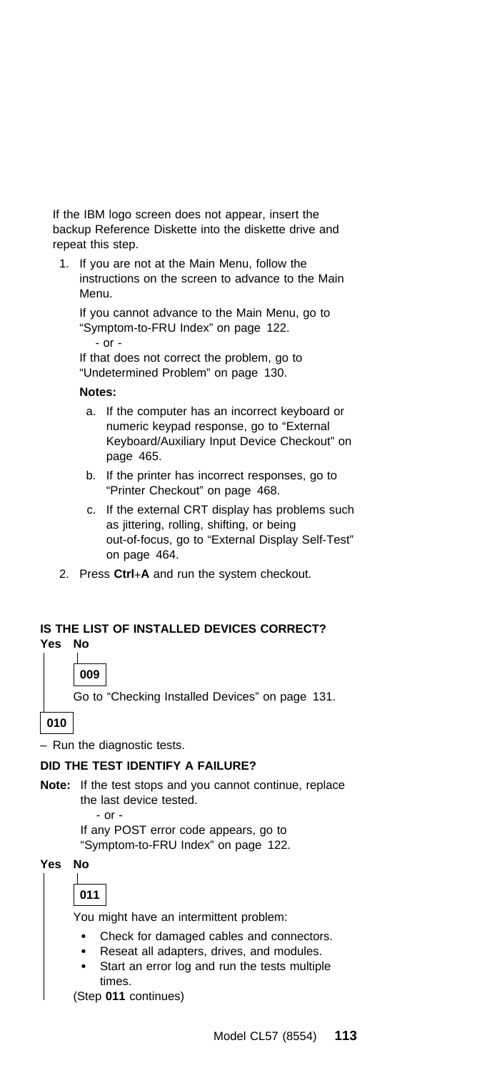If the IBM logo screen does not appear, insert the backup Reference Diskette into the diskette drive and repeat this step.

1. If you are not at the Main Menu, follow the instructions on the screen to advance to the Main Menu.

If you cannot advance to the Main Menu, go to "Symptom-to-FRU Index" on page 122. - or -

If that does not correct the problem, go to "Undetermined Problem" on page 130.

#### **Notes:**

- a. If the computer has an incorrect keyboard or numeric keypad response, go to "External Keyboard/Auxiliary Input Device Checkout" on page 465.
- b. If the printer has incorrect responses, go to "Printer Checkout" on page 468.
- c. If the external CRT display has problems such as jittering, rolling, shifting, or being out-of-focus, go to "External Display Self-Test" on page 464.
- 2. Press **Ctrl**+**A** and run the system checkout.

#### **IS THE LIST OF INSTALLED DEVICES CORRECT? Yes No**

 $\mathbf{L}$ 

**009**

Go to "Checking Installed Devices" on page 131.

**010**

– Run the diagnostic tests.

#### **DID THE TEST IDENTIFY A FAILURE?**

**Note:** If the test stops and you cannot continue, replace the last device tested.

- or - If any POST error code appears, go to "Symptom-to-FRU Index" on page 122.

**Yes No**  $\mathbf{I}$ 

| ×<br>۰. |  |
|---------|--|

You might have an intermittent problem:

- Check for damaged cables and connectors.
- Reseat all adapters, drives, and modules.
- Start an error log and run the tests multiple times.

(Step **011** continues)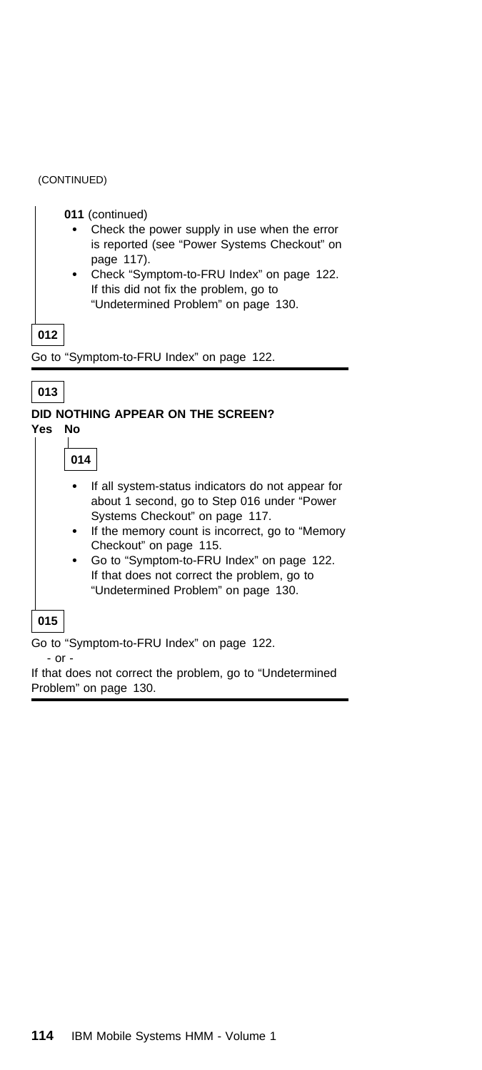#### (CONTINUED)

- **011** (continued)
	- Check the power supply in use when the error is reported (see "Power Systems Checkout" on page 117).
	- Check "Symptom-to-FRU Index" on page 122. If this did not fix the problem, go to "Undetermined Problem" on page 130.

**012**

Go to "Symptom-to-FRU Index" on page 122.



#### **DID NOTHING APPEAR ON THE SCREEN?**

**Yes No**

**014**

- If all system-status indicators do not appear for about 1 second, go to Step 016 under "Power Systems Checkout" on page 117.
- If the memory count is incorrect, go to "Memory Checkout" on page 115.
- Go to "Symptom-to-FRU Index" on page 122. If that does not correct the problem, go to "Undetermined Problem" on page 130.

#### **015**

Go to "Symptom-to-FRU Index" on page 122.

- or -

If that does not correct the problem, go to "Undetermined Problem" on page 130.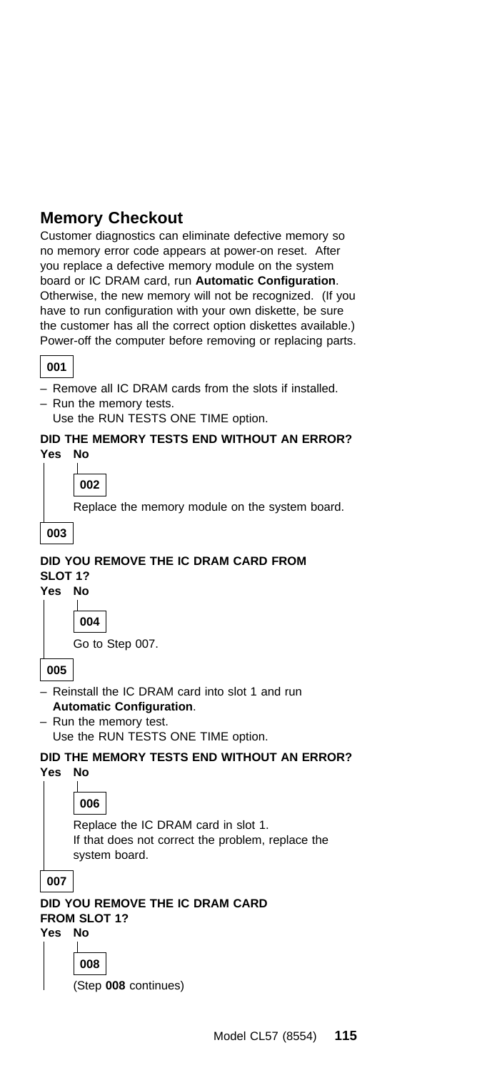### **Memory Checkout**

Customer diagnostics can eliminate defective memory so no memory error code appears at power-on reset. After you replace a defective memory module on the system board or IC DRAM card, run **Automatic Configuration**. Otherwise, the new memory will not be recognized. (If you have to run configuration with your own diskette, be sure the customer has all the correct option diskettes available.) Power-off the computer before removing or replacing parts.

#### **001**

– Remove all IC DRAM cards from the slots if installed.

– Run the memory tests.

Use the RUN TESTS ONE TIME option.

#### **DID THE MEMORY TESTS END WITHOUT AN ERROR? Yes No**

**002**

Replace the memory module on the system board.



#### **DID YOU REMOVE THE IC DRAM CARD FROM SLOT 1? Yes No**

**004** Go to Step 007.

**005**

- Reinstall the IC DRAM card into slot 1 and run **Automatic Configuration**.
- Run the memory test. Use the RUN TESTS ONE TIME option.

## **DID THE MEMORY TESTS END WITHOUT AN ERROR?**

**Yes No**

### **006**

 $\mathbf{I}$ 

Replace the IC DRAM card in slot 1. If that does not correct the problem, replace the system board.

**007**

**DID YOU REMOVE THE IC DRAM CARD FROM SLOT 1?**

**Yes No**

**008**

(Step **008** continues)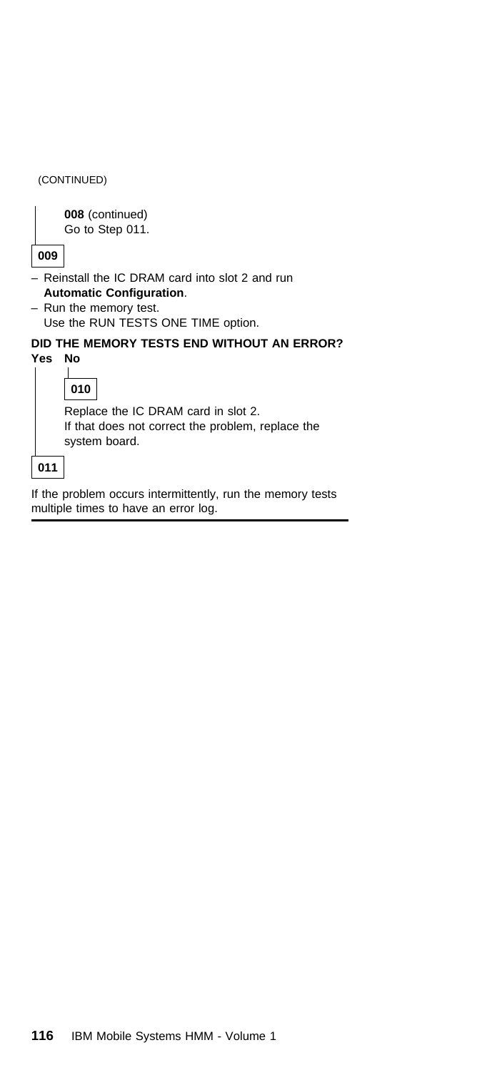|     | (CONTINUED)                                                                                                                                         |
|-----|-----------------------------------------------------------------------------------------------------------------------------------------------------|
| 009 | 008 (continued)<br>Go to Step 011.                                                                                                                  |
|     | - Reinstall the IC DRAM card into slot 2 and run<br><b>Automatic Configuration.</b><br>- Run the memory test.<br>Use the RUN TESTS ONE TIME option. |
| Yes | DID THE MEMORY TESTS END WITHOUT AN ERROR?<br>Nο<br>010                                                                                             |
|     | Replace the IC DRAM card in slot 2.<br>If that does not correct the problem, replace the<br>system board.                                           |
| 011 |                                                                                                                                                     |

If the problem occurs intermittently, run the memory tests multiple times to have an error log.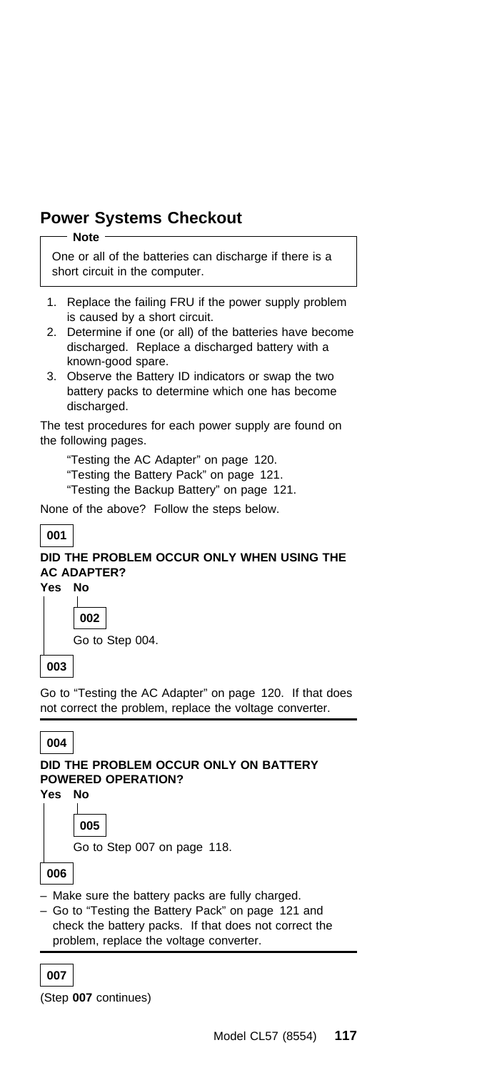### **Power Systems Checkout**

#### **Note**

One or all of the batteries can discharge if there is a short circuit in the computer.

- 1. Replace the failing FRU if the power supply problem is caused by a short circuit.
- 2. Determine if one (or all) of the batteries have become discharged. Replace a discharged battery with a known-good spare.
- 3. Observe the Battery ID indicators or swap the two battery packs to determine which one has become discharged.

The test procedures for each power supply are found on the following pages.

"Testing the AC Adapter" on page 120.

- "Testing the Battery Pack" on page 121.
- "Testing the Backup Battery" on page 121.

None of the above? Follow the steps below.

#### **001**

### **DID THE PROBLEM OCCUR ONLY WHEN USING THE AC ADAPTER?**

**Yes No**

**002** Go to Step 004.

**003**

Go to "Testing the AC Adapter" on page 120. If that does not correct the problem, replace the voltage converter.

#### **004**

#### **DID THE PROBLEM OCCUR ONLY ON BATTERY POWERED OPERATION?**

**Yes No**

**005**

Go to Step 007 on page 118.

**006**

- Make sure the battery packs are fully charged.
- Go to "Testing the Battery Pack" on page 121 and check the battery packs. If that does not correct the problem, replace the voltage converter.

#### **007**

(Step **007** continues)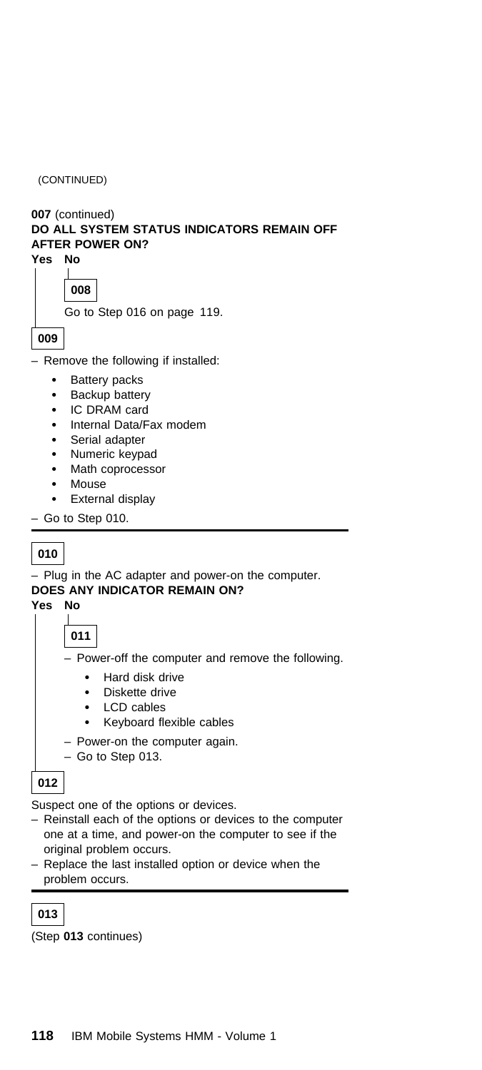(CONTINUED)

| 007 (continued)<br>DO ALL SYSTEM STATUS INDICATORS REMAIN OFF<br><b>AFTER POWER ON?</b><br>Yes No<br>008<br>Go to Step 016 on page 119.<br>009                                                                                 |
|--------------------------------------------------------------------------------------------------------------------------------------------------------------------------------------------------------------------------------|
| Remove the following if installed:                                                                                                                                                                                             |
| Battery packs<br>٠<br>Backup battery<br>٠<br>IC DRAM card<br>٠<br>Internal Data/Fax modem<br>Serial adapter<br>٠<br>Numeric keypad<br>٠<br>Math coprocessor<br>٠<br>Mouse<br>٠<br>External display<br>٠<br>$-$ Go to Step 010. |
| 010<br>- Plug in the AC adapter and power-on the computer.<br>DOES ANY INDICATOR REMAIN ON?<br>Yes<br>No<br>011                                                                                                                |

– Power-off the computer and remove the following.

- Hard disk drive
- Diskette drive
- LCD cables
- Keyboard flexible cables
- Power-on the computer again.
- Go to Step 013.

### **012**

Suspect one of the options or devices.

- Reinstall each of the options or devices to the computer one at a time, and power-on the computer to see if the original problem occurs.
- Replace the last installed option or device when the problem occurs.

### **013**

(Step **013** continues)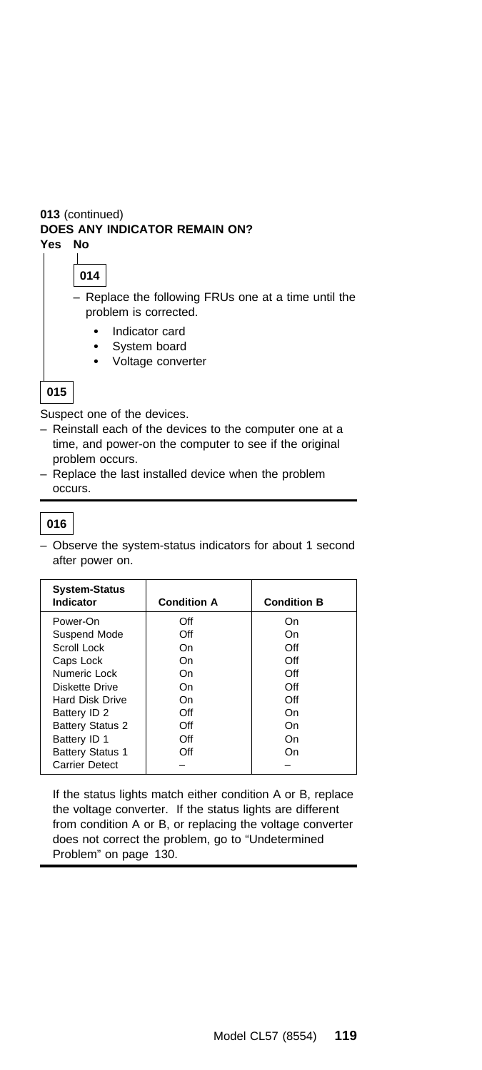#### **013** (continued) **DOES ANY INDICATOR REMAIN ON? Yes No**

#### $\bot$ **014**

– Replace the following FRUs one at a time until the problem is corrected.

- Indicator card
- System board
- Voltage converter

### **015**

Suspect one of the devices.

- Reinstall each of the devices to the computer one at a time, and power-on the computer to see if the original problem occurs.
- Replace the last installed device when the problem occurs.

### **016**

– Observe the system-status indicators for about 1 second after power on.

| <b>System-Status</b><br>Indicator | <b>Condition A</b> | <b>Condition B</b> |
|-----------------------------------|--------------------|--------------------|
| Power-On                          | Off                | On                 |
| Suspend Mode                      | Off                | On                 |
| Scroll Lock                       | On                 | Off                |
| Caps Lock                         | On                 | Off                |
| Numeric Lock                      | On                 | Off                |
| Diskette Drive                    | On                 | Off                |
| <b>Hard Disk Drive</b>            | On                 | Off                |
| Battery ID 2                      | Off                | On                 |
| <b>Battery Status 2</b>           | Off                | On                 |
| Battery ID 1                      | Off                | On                 |
| <b>Battery Status 1</b>           | Off                | On                 |
| <b>Carrier Detect</b>             |                    |                    |

If the status lights match either condition A or B, replace the voltage converter. If the status lights are different from condition A or B, or replacing the voltage converter does not correct the problem, go to "Undetermined Problem" on page 130.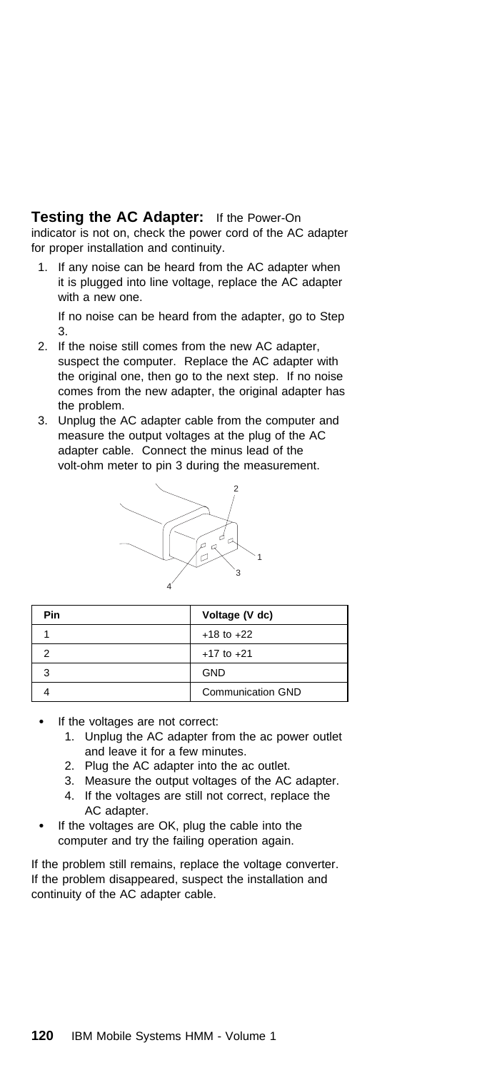#### **Testing the AC Adapter:** If the Power-On

indicator is not on, check the power cord of the AC adapter for proper installation and continuity.

1. If any noise can be heard from the AC adapter when it is plugged into line voltage, replace the AC adapter with a new one.

If no noise can be heard from the adapter, go to Step 3.

- 2. If the noise still comes from the new AC adapter, suspect the computer. Replace the AC adapter with the original one, then go to the next step. If no noise comes from the new adapter, the original adapter has the problem.
- 3. Unplug the AC adapter cable from the computer and measure the output voltages at the plug of the AC adapter cable. Connect the minus lead of the volt-ohm meter to pin 3 during the measurement.



| Pin | Voltage (V dc)    |
|-----|-------------------|
|     | $+18$ to $+22$    |
|     | $+17$ to $+21$    |
|     | <b>GND</b>        |
|     | Communication GND |

- If the voltages are not correct:
	- 1. Unplug the AC adapter from the ac power outlet and leave it for a few minutes.
	- 2. Plug the AC adapter into the ac outlet.
	- 3. Measure the output voltages of the AC adapter.
	- 4. If the voltages are still not correct, replace the AC adapter.
- If the voltages are OK, plug the cable into the computer and try the failing operation again.

If the problem still remains, replace the voltage converter. If the problem disappeared, suspect the installation and continuity of the AC adapter cable.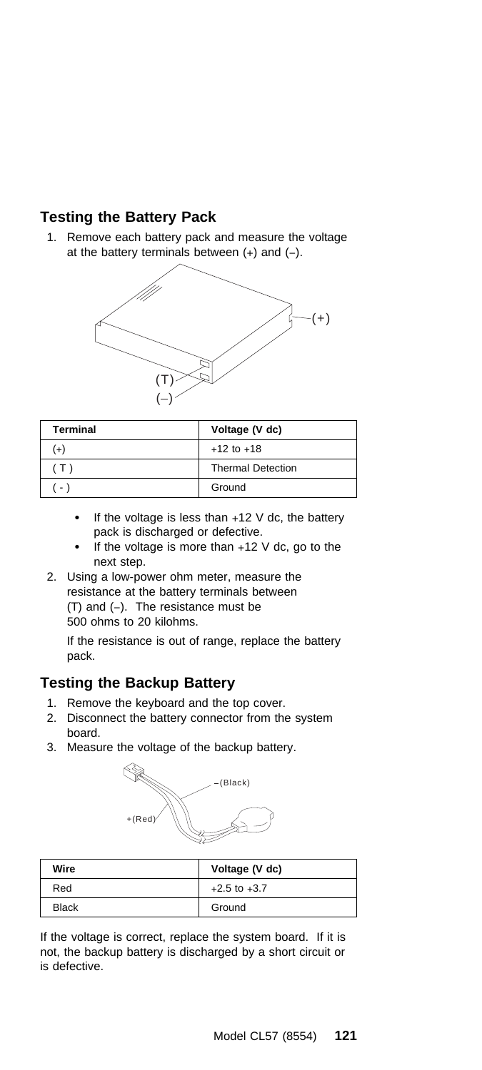### **Testing the Battery Pack**

1. Remove each battery pack and measure the voltage at the battery terminals between (+) and (−).



| <b>Terminal</b> | Voltage (V dc)           |
|-----------------|--------------------------|
| $(+)$           | $+12$ to $+18$           |
| $T_{\rm b}$     | <b>Thermal Detection</b> |
| $\sim$          | Ground                   |

- If the voltage is less than  $+12$  V dc, the battery pack is discharged or defective.
- If the voltage is more than +12 V dc, go to the next step.
- 2. Using a low-power ohm meter, measure the resistance at the battery terminals between (T) and (−). The resistance must be 500 ohms to 20 kilohms.

If the resistance is out of range, replace the battery pack.

### **Testing the Backup Battery**

- 1. Remove the keyboard and the top cover.
- 2. Disconnect the battery connector from the system board.
- 3. Measure the voltage of the backup battery.



| Wire         | Voltage (V dc)   |
|--------------|------------------|
| Red          | $+2.5$ to $+3.7$ |
| <b>Black</b> | Ground           |

If the voltage is correct, replace the system board. If it is not, the backup battery is discharged by a short circuit or is defective.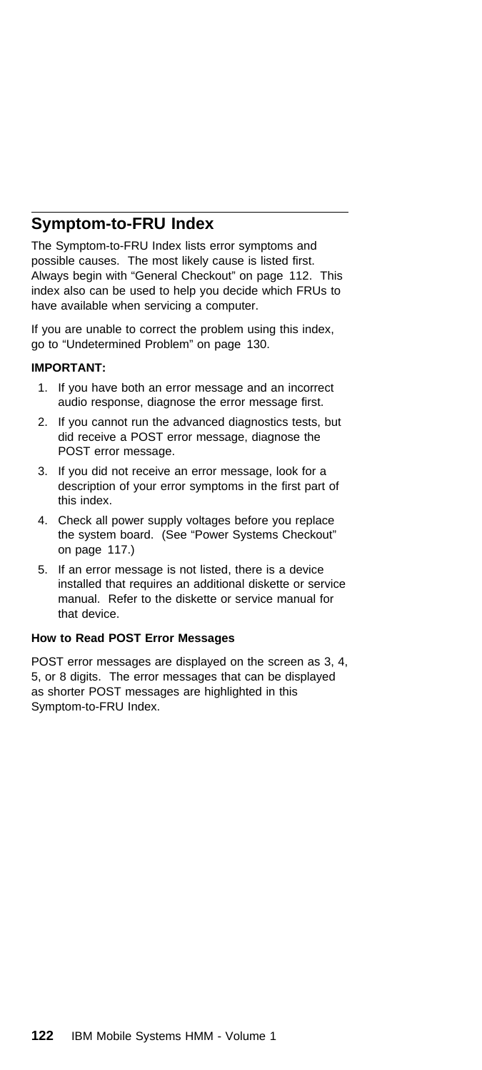### **Symptom-to-FRU Index**

The Symptom-to-FRU Index lists error symptoms and possible causes. The most likely cause is listed first. Always begin with "General Checkout" on page 112. This index also can be used to help you decide which FRUs to have available when servicing a computer.

If you are unable to correct the problem using this index, go to "Undetermined Problem" on page 130.

#### **IMPORTANT:**

- 1. If you have both an error message and an incorrect audio response, diagnose the error message first.
- 2. If you cannot run the advanced diagnostics tests, but did receive a POST error message, diagnose the POST error message.
- 3. If you did not receive an error message, look for a description of your error symptoms in the first part of this index.
- 4. Check all power supply voltages before you replace the system board. (See "Power Systems Checkout" on page 117.)
- 5. If an error message is not listed, there is a device installed that requires an additional diskette or service manual. Refer to the diskette or service manual for that device.

#### **How to Read POST Error Messages**

POST error messages are displayed on the screen as 3, 4, 5, or 8 digits. The error messages that can be displayed as shorter POST messages are highlighted in this Symptom-to-FRU Index.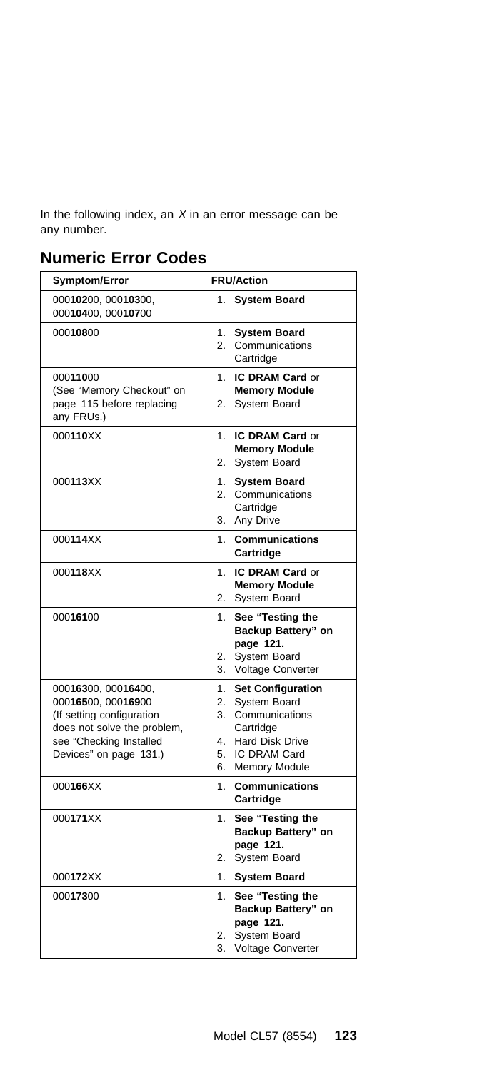In the following index, an  $X$  in an error message can be any number.

### **Numeric Error Codes**

| <b>Symptom/Error</b>                                                                                                                                       | <b>FRU/Action</b>                                                                                                                               |
|------------------------------------------------------------------------------------------------------------------------------------------------------------|-------------------------------------------------------------------------------------------------------------------------------------------------|
| 00010200, 00010300,<br>00010400, 00010700                                                                                                                  | <b>System Board</b><br>$1_{-}$                                                                                                                  |
| 00010800                                                                                                                                                   | <b>System Board</b><br>1.<br>2.<br>Communications<br>Cartridge                                                                                  |
| 00011000<br>(See "Memory Checkout" on<br>page 115 before replacing<br>any FRUs.)                                                                           | IC DRAM Card or<br>1.<br><b>Memory Module</b><br>2.<br><b>System Board</b>                                                                      |
| 000110XX                                                                                                                                                   | <b>IC DRAM Card or</b><br>1.<br><b>Memory Module</b><br>System Board<br>2.                                                                      |
| 000113XX                                                                                                                                                   | 1.<br><b>System Board</b><br>Communications<br>2.<br>Cartridge<br>3.<br>Any Drive                                                               |
| 000114XX                                                                                                                                                   | 1.<br><b>Communications</b><br>Cartridge                                                                                                        |
| 000118XX                                                                                                                                                   | IC DRAM Card or<br>1.<br><b>Memory Module</b><br>2.<br><b>System Board</b>                                                                      |
| 00016100                                                                                                                                                   | See "Testing the<br>1.<br>Backup Battery" on<br>page 121.<br>System Board<br>2.<br>Voltage Converter<br>3.                                      |
| 00016300, 00016400,<br>00016500, 00016900<br>(If setting configuration<br>does not solve the problem,<br>see "Checking Installed<br>Devices" on page 131.) | <b>Set Configuration</b><br>1.<br>System Board<br>2.<br>3.<br>Communications<br>Cartridge<br><b>Hard Disk Drive</b><br>4.<br>IC DRAM Card<br>5. |
| 000166XX                                                                                                                                                   | <b>Memory Module</b><br>6.<br>1 <sub>1</sub><br><b>Communications</b><br>Cartridge                                                              |
| 000171XX                                                                                                                                                   | See "Testing the<br>1.<br>Backup Battery" on<br>page 121.<br>System Board<br>2.                                                                 |
| 000172XX                                                                                                                                                   | 1.<br><b>System Board</b>                                                                                                                       |
| 00017300                                                                                                                                                   | See "Testing the<br>1.<br>Backup Battery" on<br>page 121.<br>System Board<br>2.<br>Voltage Converter<br>3.                                      |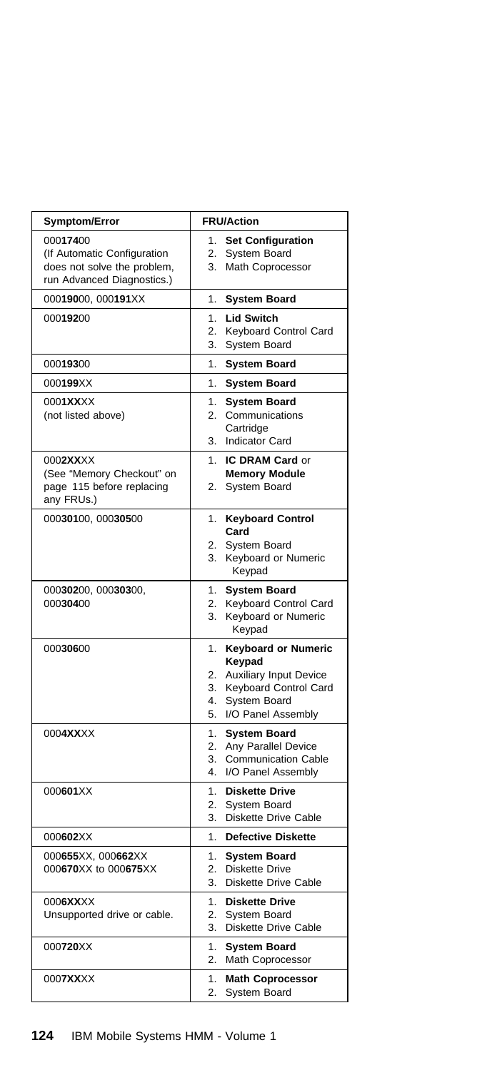| Symptom/Error                                                                                        | <b>FRU/Action</b>                                                                                                                                                  |
|------------------------------------------------------------------------------------------------------|--------------------------------------------------------------------------------------------------------------------------------------------------------------------|
| 00017400<br>(If Automatic Configuration<br>does not solve the problem,<br>run Advanced Diagnostics.) | <b>Set Configuration</b><br>1.<br>System Board<br>2.<br>Math Coprocessor<br>3.                                                                                     |
| 00019000, 000191XX                                                                                   | 1.<br><b>System Board</b>                                                                                                                                          |
| 00019200                                                                                             | 1.<br><b>Lid Switch</b><br>2.<br>Keyboard Control Card<br>3.<br>System Board                                                                                       |
| 00019300                                                                                             | 1.<br><b>System Board</b>                                                                                                                                          |
| 000199XX                                                                                             | 1.<br><b>System Board</b>                                                                                                                                          |
| 0001XXXX<br>(not listed above)                                                                       | 1.<br><b>System Board</b><br>2.<br>Communications<br>Cartridge<br><b>Indicator Card</b><br>3.                                                                      |
| 0002XXXX                                                                                             | <b>IC DRAM Card or</b><br>1.                                                                                                                                       |
| (See "Memory Checkout" on<br>page 115 before replacing<br>any FRUs.)                                 | <b>Memory Module</b><br>System Board<br>2.                                                                                                                         |
| 00030100, 00030500                                                                                   | <b>Keyboard Control</b><br>1.<br>Card<br>System Board<br>2.<br>Keyboard or Numeric<br>3.<br>Keypad                                                                 |
| 00030200, 00030300,<br>00030400                                                                      | <b>System Board</b><br>1.<br>Keyboard Control Card<br>2.<br>3.<br>Keyboard or Numeric<br>Keypad                                                                    |
| 00030600                                                                                             | <b>Keyboard or Numeric</b><br>1.<br>Keypad<br><b>Auxiliary Input Device</b><br>2.<br>Keyboard Control Card<br>3.<br>4.<br>System Board<br>5.<br>I/O Panel Assembly |
| 0004XXXX                                                                                             | 1.<br><b>System Board</b><br>Any Parallel Device<br>2.<br>3.<br><b>Communication Cable</b><br>4.<br>I/O Panel Assembly                                             |
| 000601XX                                                                                             | 1.<br><b>Diskette Drive</b><br>2.<br>System Board<br>3.<br>Diskette Drive Cable                                                                                    |
| 000602XX                                                                                             | 1.<br><b>Defective Diskette</b>                                                                                                                                    |
| 000655XX, 000662XX<br>000670XX to 000675XX                                                           | 1.<br><b>System Board</b><br>2.<br><b>Diskette Drive</b><br>3.<br>Diskette Drive Cable                                                                             |
| 0006XXXX<br>Unsupported drive or cable.                                                              | 1.<br><b>Diskette Drive</b><br>2.<br>System Board<br>3.<br><b>Diskette Drive Cable</b>                                                                             |
| 000720XX                                                                                             | 1.<br><b>System Board</b><br>2.<br>Math Coprocessor                                                                                                                |
| 0007XXXX                                                                                             | 1.<br><b>Math Coprocessor</b><br>2.<br>System Board                                                                                                                |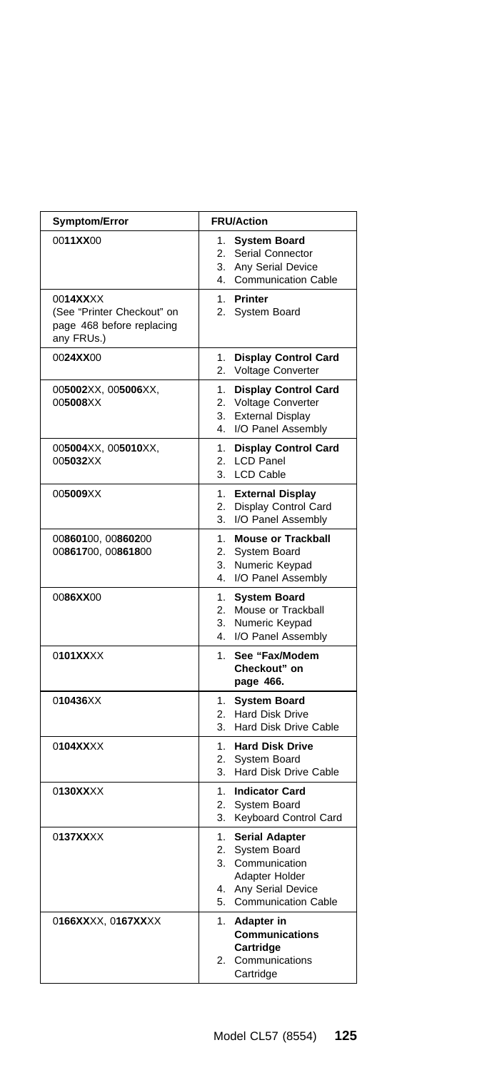| Symptom/Error                                                                     | <b>FRU/Action</b>                                                                                                                                         |
|-----------------------------------------------------------------------------------|-----------------------------------------------------------------------------------------------------------------------------------------------------------|
| 0011XX00                                                                          | <b>System Board</b><br>1.<br>Serial Connector<br>2.<br>Any Serial Device<br>3.<br><b>Communication Cable</b><br>4.                                        |
| 0014XXXX<br>(See "Printer Checkout" on<br>page 468 before replacing<br>any FRUs.) | Printer<br>1.<br>System Board<br>2.                                                                                                                       |
| 0024XX00                                                                          | 1.<br><b>Display Control Card</b><br>Voltage Converter<br>2.                                                                                              |
| 005002XX, 005006XX,<br>005008XX                                                   | <b>Display Control Card</b><br>1.<br>Voltage Converter<br>2.<br><b>External Display</b><br>3.<br>I/O Panel Assembly<br>4.                                 |
| 005004XX, 005010XX,<br>005032XX                                                   | 1.<br><b>Display Control Card</b><br><b>LCD Panel</b><br>2.<br><b>LCD Cable</b><br>3.                                                                     |
| 005009XX                                                                          | 1.<br><b>External Display</b><br>Display Control Card<br>2.<br>I/O Panel Assembly<br>3.                                                                   |
| 00860100, 00860200<br>00861700, 00861800                                          | 1.<br><b>Mouse or Trackball</b><br>2.<br><b>System Board</b><br>3.<br>Numeric Keypad<br>I/O Panel Assembly<br>4.                                          |
| 0086XX00                                                                          | <b>System Board</b><br>1.<br>Mouse or Trackball<br>2.<br>Numeric Keypad<br>3.<br>4.<br>I/O Panel Assembly                                                 |
| 0101XXXX                                                                          | See "Fax/Modem<br>1.<br>Checkout" on<br>page 466.                                                                                                         |
| 010436XX                                                                          | <b>System Board</b><br>1.<br>2.<br>Hard Disk Drive<br>Hard Disk Drive Cable<br>3.                                                                         |
| 0104XXXX                                                                          | 1.<br><b>Hard Disk Drive</b><br>2.<br>System Board<br>3.<br>Hard Disk Drive Cable                                                                         |
| 0130XXXX                                                                          | 1.<br><b>Indicator Card</b><br>System Board<br>2.<br>Keyboard Control Card<br>3.                                                                          |
| 0137XXXX                                                                          | 1.<br><b>Serial Adapter</b><br>System Board<br>2.<br>3.<br>Communication<br>Adapter Holder<br>4.<br>Any Serial Device<br><b>Communication Cable</b><br>5. |
| 0166XXXX, 0167XXXX                                                                | 1.<br><b>Adapter in</b><br>Communications<br>Cartridge<br>2.<br>Communications<br>Cartridge                                                               |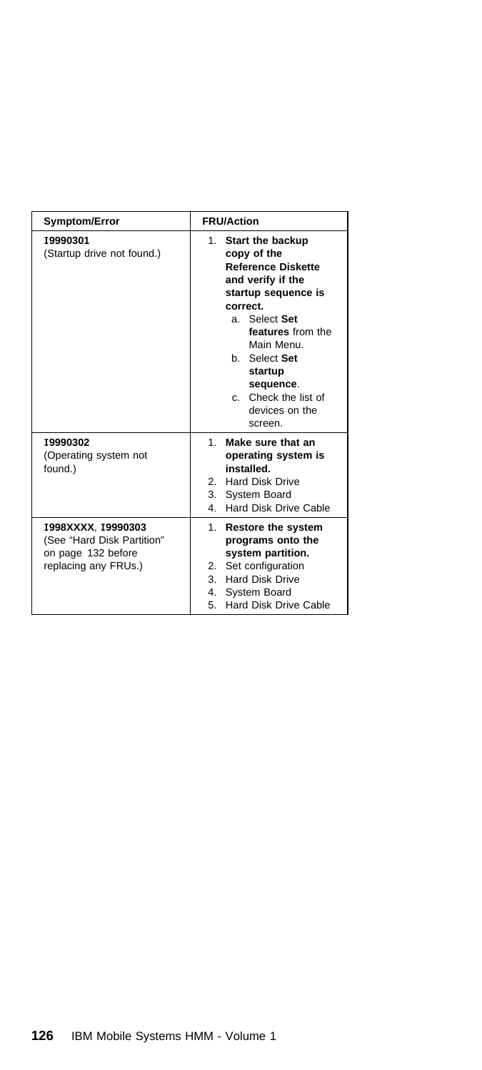| <b>Symptom/Error</b>                                                                           | <b>FRU/Action</b>                                                                                                                                                                                                                                                        |
|------------------------------------------------------------------------------------------------|--------------------------------------------------------------------------------------------------------------------------------------------------------------------------------------------------------------------------------------------------------------------------|
| 19990301<br>(Startup drive not found.)                                                         | 1. Start the backup<br>copy of the<br><b>Reference Diskette</b><br>and verify if the<br>startup sequence is<br>correct.<br>a. Select Set<br>features from the<br>Main Menu.<br>b Select Set<br>startup<br>sequence.<br>c. Check the list of<br>devices on the<br>screen. |
| 19990302<br>(Operating system not<br>found.)                                                   | Make sure that an<br>$1 \quad$<br>operating system is<br>installed.<br>2. Hard Disk Drive<br>3. System Board<br>Hard Disk Drive Cable<br>4                                                                                                                               |
| 1998XXXX, 19990303<br>(See "Hard Disk Partition"<br>on page 132 before<br>replacing any FRUs.) | 1. Restore the system<br>programs onto the<br>system partition.<br>Set configuration<br>2.<br>3. Hard Disk Drive<br>4. System Board<br>Hard Disk Drive Cable<br>5                                                                                                        |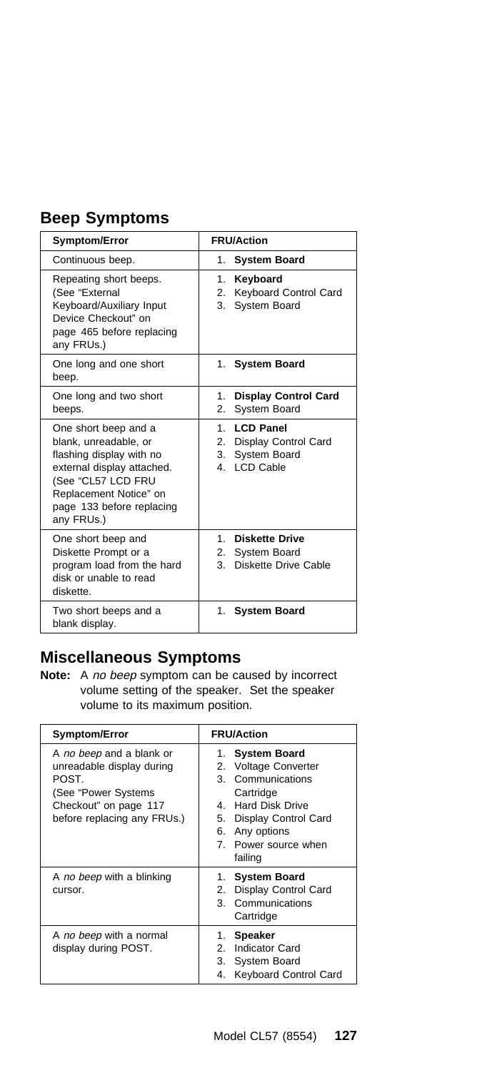## **Beep Symptoms**

| <b>Symptom/Error</b>                                                                                                                                                                               | <b>FRU/Action</b>                                                                              |  |
|----------------------------------------------------------------------------------------------------------------------------------------------------------------------------------------------------|------------------------------------------------------------------------------------------------|--|
| Continuous beep.                                                                                                                                                                                   | <b>System Board</b><br>1.                                                                      |  |
| Repeating short beeps.<br>(See "External<br>Keyboard/Auxiliary Input<br>Device Checkout" on<br>page 465 before replacing<br>any FRUs.)                                                             | Keyboard<br>1.<br>Keyboard Control Card<br>2.<br>System Board<br>3.                            |  |
| One long and one short<br>beep.                                                                                                                                                                    | 1. System Board                                                                                |  |
| One long and two short<br>beeps.                                                                                                                                                                   | <b>Display Control Card</b><br>$1_{-}$<br>2.<br>System Board                                   |  |
| One short beep and a<br>blank, unreadable, or<br>flashing display with no<br>external display attached.<br>(See "CL57 LCD FRU<br>Replacement Notice" on<br>page 133 before replacing<br>any FRUs.) | <b>LCD Panel</b><br>$1 \quad$<br>2. Display Control Card<br>System Board<br>3.<br>4. LCD Cable |  |
| One short beep and<br>Diskette Prompt or a<br>program load from the hard<br>disk or unable to read<br>diskette.                                                                                    | 1<br><b>Diskette Drive</b><br><b>System Board</b><br>2.<br>Diskette Drive Cable<br>3.          |  |
| Two short beeps and a<br>blank display.                                                                                                                                                            | 1. System Board                                                                                |  |

### **Miscellaneous Symptoms**

**Note:** A no beep symptom can be caused by incorrect volume setting of the speaker. Set the speaker volume to its maximum position.

| <b>Symptom/Error</b>                                                                                                                          | <b>FRU/Action</b>                                                                                                                                                                                                    |  |
|-----------------------------------------------------------------------------------------------------------------------------------------------|----------------------------------------------------------------------------------------------------------------------------------------------------------------------------------------------------------------------|--|
| A no beep and a blank or<br>unreadable display during<br>POST.<br>(See "Power Systems<br>Checkout" on page 117<br>before replacing any FRUs.) | <b>System Board</b><br>1.<br><b>Voltage Converter</b><br>2.<br>Communications<br>3<br>Cartridge<br><b>Hard Disk Drive</b><br>4<br>Display Control Card<br>5.<br>Any options<br>6.<br>7. Power source when<br>failing |  |
| A no beep with a blinking<br>cursor.                                                                                                          | <b>System Board</b><br>1.<br>Display Control Card<br>2.<br>Communications<br>3<br>Cartridge                                                                                                                          |  |
| A no beep with a normal<br>display during POST.                                                                                               | <b>Speaker</b><br>1.<br>Indicator Card<br>$\mathcal{P}$<br>3.<br><b>System Board</b><br>4.<br><b>Keyboard Control Card</b>                                                                                           |  |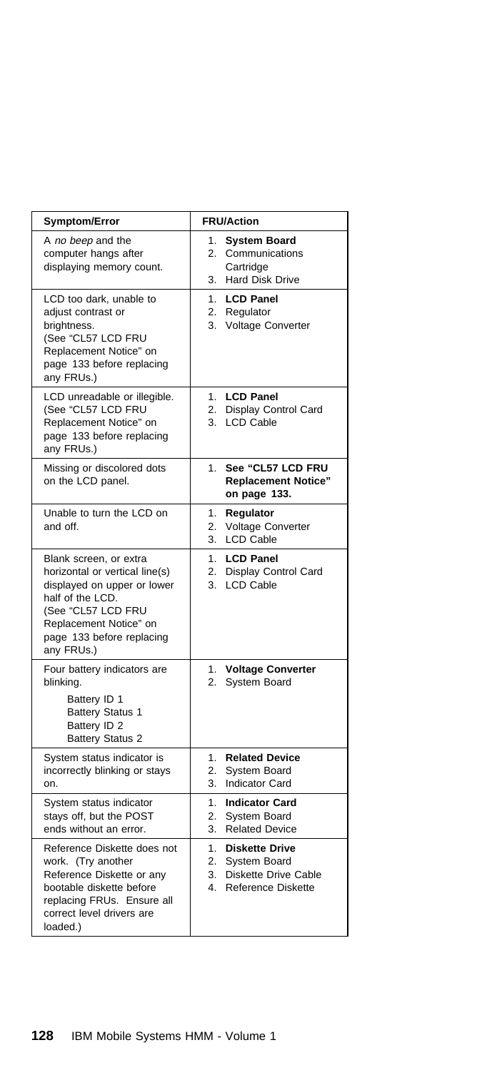| <b>Symptom/Error</b>                                                                                                                                                                                   | <b>FRU/Action</b>                                                                                           |  |
|--------------------------------------------------------------------------------------------------------------------------------------------------------------------------------------------------------|-------------------------------------------------------------------------------------------------------------|--|
| A no beep and the<br>computer hangs after<br>displaying memory count.                                                                                                                                  | <b>System Board</b><br>1.<br>2.<br>Communications<br>Cartridge<br><b>Hard Disk Drive</b><br>3.              |  |
| LCD too dark, unable to<br>adjust contrast or<br>brightness.<br>(See "CL57 LCD FRU<br>Replacement Notice" on<br>page 133 before replacing<br>any FRUs.)                                                | 1.<br><b>LCD Panel</b><br>2.<br>Regulator<br>3.<br><b>Voltage Converter</b>                                 |  |
| LCD unreadable or illegible.<br>(See "CL57 LCD FRU<br>Replacement Notice" on<br>page 133 before replacing<br>any FRUs.)                                                                                | <b>LCD Panel</b><br>1.<br>2.<br>Display Control Card<br><b>LCD Cable</b><br>3.                              |  |
| Missing or discolored dots<br>on the LCD panel.                                                                                                                                                        | See "CL57 LCD FRU<br>1.<br><b>Replacement Notice"</b><br>on page 133.                                       |  |
| Unable to turn the LCD on<br>and off.                                                                                                                                                                  | 1.<br>Regulator<br>2.<br><b>Voltage Converter</b><br><b>LCD Cable</b><br>3.                                 |  |
| Blank screen, or extra<br>horizontal or vertical line(s)<br>displayed on upper or lower<br>half of the LCD.<br>(See "CL57 LCD FRU<br>Replacement Notice" on<br>page 133 before replacing<br>any FRUs.) | <b>LCD Panel</b><br>1.<br>2.<br>Display Control Card<br>3.<br><b>LCD Cable</b>                              |  |
| Four battery indicators are<br>blinking.<br>Battery ID 1<br><b>Battery Status 1</b><br>Battery ID 2<br><b>Battery Status 2</b>                                                                         | 1.<br><b>Voltage Converter</b><br>2.<br><b>System Board</b>                                                 |  |
| System status indicator is<br>incorrectly blinking or stays<br>on.                                                                                                                                     | 1.<br><b>Related Device</b><br>2.<br>System Board<br>3.<br><b>Indicator Card</b>                            |  |
| System status indicator<br>stays off, but the POST<br>ends without an error.                                                                                                                           | <b>Indicator Card</b><br>1.<br>System Board<br>2.<br><b>Related Device</b><br>3.                            |  |
| Reference Diskette does not<br>work. (Try another<br>Reference Diskette or any<br>bootable diskette before<br>replacing FRUs. Ensure all<br>correct level drivers are<br>loaded.)                      | 1.<br><b>Diskette Drive</b><br>System Board<br>2.<br>3.<br>Diskette Drive Cable<br>4.<br>Reference Diskette |  |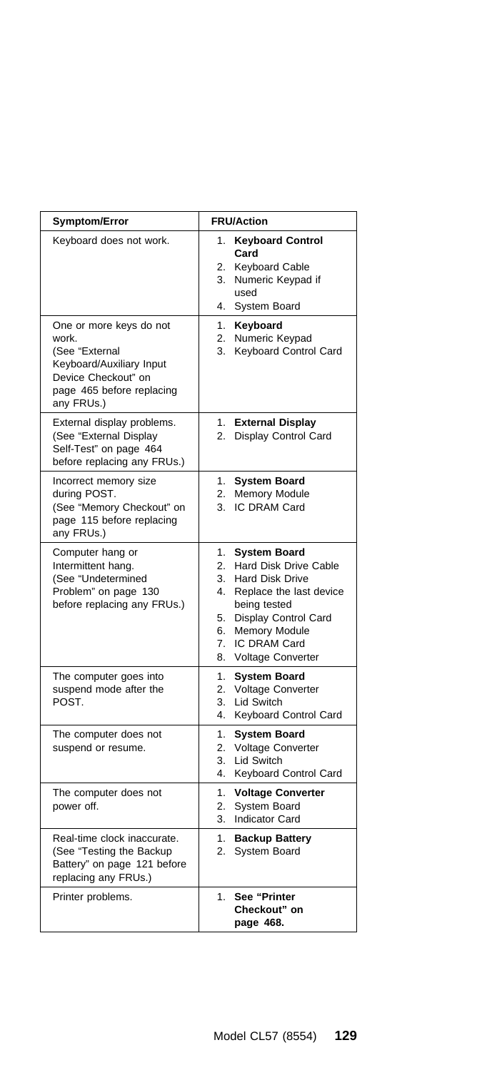| Symptom/Error                                                                                                                                    | <b>FRU/Action</b>                                                                                                                                                                                                                                      |  |  |
|--------------------------------------------------------------------------------------------------------------------------------------------------|--------------------------------------------------------------------------------------------------------------------------------------------------------------------------------------------------------------------------------------------------------|--|--|
| Keyboard does not work.                                                                                                                          | <b>Keyboard Control</b><br>1.<br>Card<br><b>Keyboard Cable</b><br>2.<br>Numeric Keypad if<br>3.<br>used<br>System Board<br>4.                                                                                                                          |  |  |
| One or more keys do not<br>work.<br>(See "External<br>Keyboard/Auxiliary Input<br>Device Checkout" on<br>page 465 before replacing<br>any FRUs.) | Keyboard<br>1.<br>Numeric Keypad<br>2.<br>Keyboard Control Card<br>3.                                                                                                                                                                                  |  |  |
| External display problems.<br>(See "External Display<br>Self-Test" on page 464<br>before replacing any FRUs.)                                    | 1.<br><b>External Display</b><br>Display Control Card<br>2.                                                                                                                                                                                            |  |  |
| Incorrect memory size<br>during POST.<br>(See "Memory Checkout" on<br>page 115 before replacing<br>any FRUs.)                                    | <b>System Board</b><br>1.<br><b>Memory Module</b><br>2.<br>IC DRAM Card<br>3.                                                                                                                                                                          |  |  |
| Computer hang or<br>Intermittent hang.<br>(See "Undetermined<br>Problem" on page 130<br>before replacing any FRUs.)                              | <b>System Board</b><br>1.<br>Hard Disk Drive Cable<br>2.<br><b>Hard Disk Drive</b><br>3.<br>4.<br>Replace the last device<br>being tested<br>Display Control Card<br>5.<br><b>Memory Module</b><br>6.<br>IC DRAM Card<br>7.<br>Voltage Converter<br>8. |  |  |
| The computer goes into<br>suspend mode after the<br>POST.                                                                                        | <b>System Board</b><br>1.<br>Voltage Converter<br>2.<br>Lid Switch<br>3.<br>Keyboard Control Card<br>4.                                                                                                                                                |  |  |
| The computer does not<br>suspend or resume.                                                                                                      | 1.<br><b>System Board</b><br>Voltage Converter<br>2.<br>Lid Switch<br>3.<br>4.<br>Keyboard Control Card                                                                                                                                                |  |  |
| The computer does not<br>power off.                                                                                                              | 1.<br><b>Voltage Converter</b><br>2.<br>System Board<br>Indicator Card<br>3.                                                                                                                                                                           |  |  |
| Real-time clock inaccurate.<br>(See "Testing the Backup<br>Battery" on page 121 before<br>replacing any FRUs.)                                   | 1.<br><b>Backup Battery</b><br>System Board<br>2.                                                                                                                                                                                                      |  |  |
| Printer problems.                                                                                                                                | 1.<br>See "Printer<br>Checkout" on<br>page 468.                                                                                                                                                                                                        |  |  |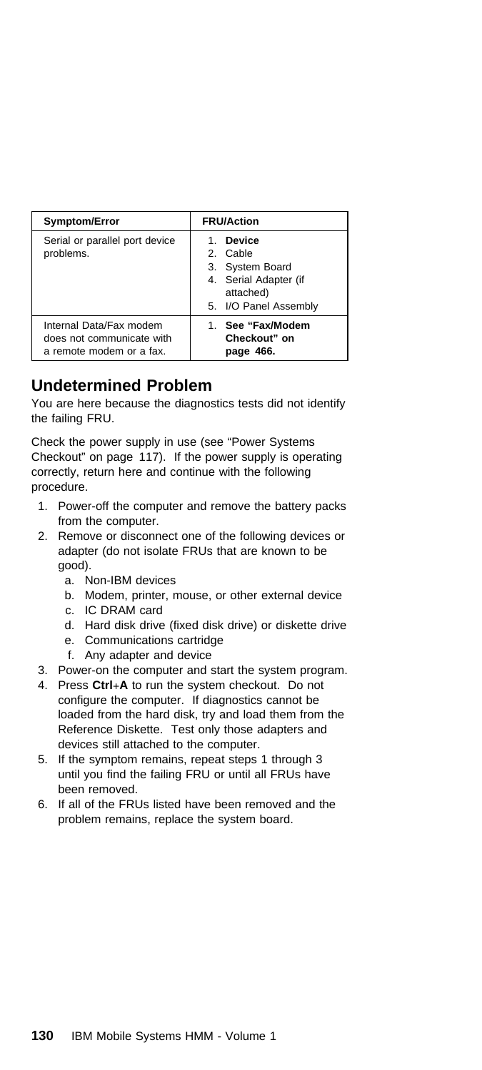| Symptom/Error                                                                   | <b>FRU/Action</b>                                                                                           |
|---------------------------------------------------------------------------------|-------------------------------------------------------------------------------------------------------------|
| Serial or parallel port device<br>problems.                                     | <b>Device</b><br>2. Cable<br>3. System Board<br>4. Serial Adapter (if<br>attached)<br>5. I/O Panel Assembly |
| Internal Data/Fax modem<br>does not communicate with<br>a remote modem or a fax | 1. See "Fax/Modem<br>Checkout" on<br>page 466.                                                              |

### **Undetermined Problem**

You are here because the diagnostics tests did not identify the failing FRU.

Check the power supply in use (see "Power Systems Checkout" on page 117). If the power supply is operating correctly, return here and continue with the following procedure.

- 1. Power-off the computer and remove the battery packs from the computer.
- 2. Remove or disconnect one of the following devices or adapter (do not isolate FRUs that are known to be good).
	- a. Non-IBM devices
	- b. Modem, printer, mouse, or other external device
	- c. IC DRAM card
	- d. Hard disk drive (fixed disk drive) or diskette drive
	- e. Communications cartridge
	- f. Any adapter and device
- 3. Power-on the computer and start the system program.
- 4. Press **Ctrl**+**A** to run the system checkout. Do not configure the computer. If diagnostics cannot be loaded from the hard disk, try and load them from the Reference Diskette. Test only those adapters and devices still attached to the computer.
- 5. If the symptom remains, repeat steps 1 through 3 until you find the failing FRU or until all FRUs have been removed.
- 6. If all of the FRUs listed have been removed and the problem remains, replace the system board.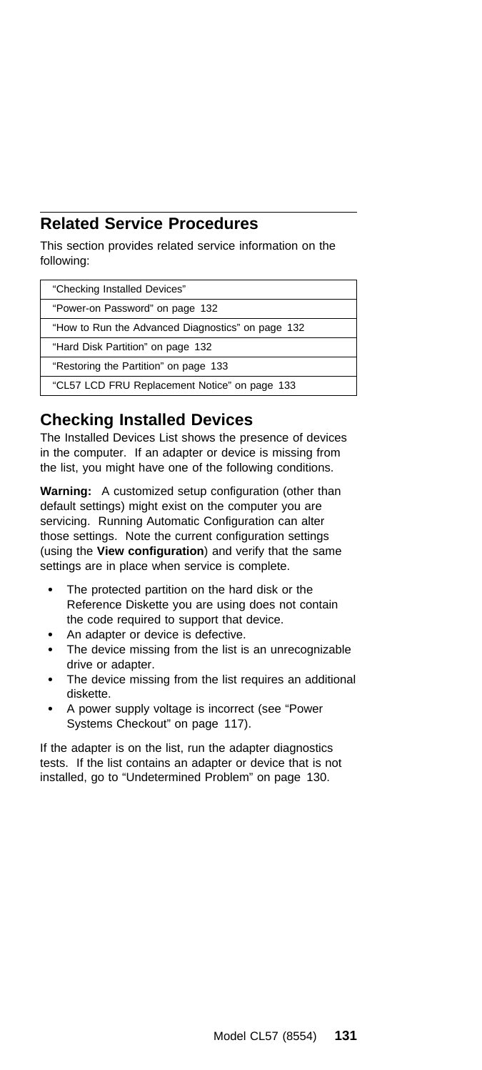### **Related Service Procedures**

This section provides related service information on the following:

| "Checking Installed Devices"                      |
|---------------------------------------------------|
| "Power-on Password" on page 132                   |
| "How to Run the Advanced Diagnostics" on page 132 |
| "Hard Disk Partition" on page 132                 |
| "Restoring the Partition" on page 133             |
| "CL57 LCD FRU Replacement Notice" on page 133     |

### **Checking Installed Devices**

The Installed Devices List shows the presence of devices in the computer. If an adapter or device is missing from the list, you might have one of the following conditions.

**Warning:** A customized setup configuration (other than default settings) might exist on the computer you are servicing. Running Automatic Configuration can alter those settings. Note the current configuration settings (using the **View configuration**) and verify that the same settings are in place when service is complete.

- The protected partition on the hard disk or the Reference Diskette you are using does not contain the code required to support that device.
- An adapter or device is defective.
- The device missing from the list is an unrecognizable drive or adapter.
- The device missing from the list requires an additional diskette.
- A power supply voltage is incorrect (see "Power Systems Checkout" on page 117).

If the adapter is on the list, run the adapter diagnostics tests. If the list contains an adapter or device that is not installed, go to "Undetermined Problem" on page 130.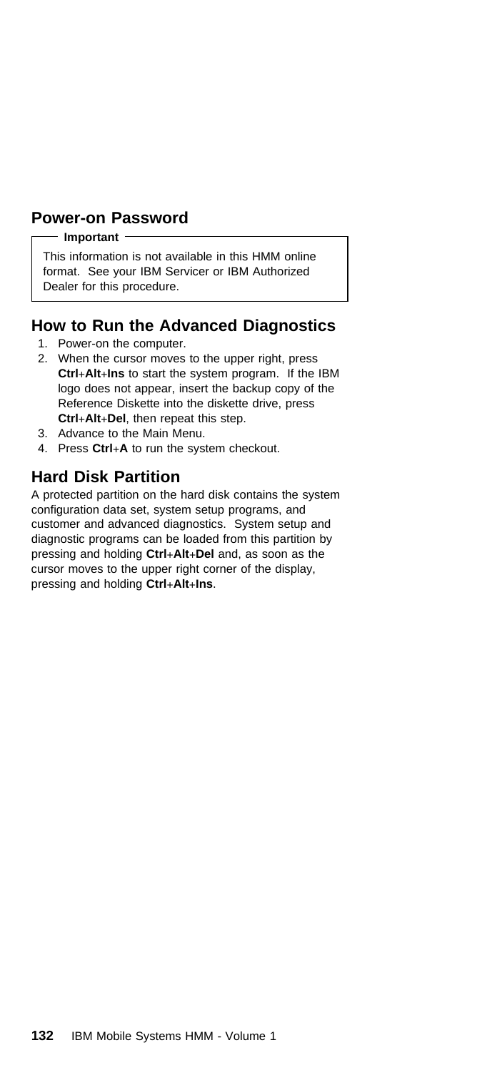### **Power-on Password**

#### **Important**

This information is not available in this HMM online format. See your IBM Servicer or IBM Authorized Dealer for this procedure.

### **How to Run the Advanced Diagnostics**

- 1. Power-on the computer.
- 2. When the cursor moves to the upper right, press **Ctrl**+**Alt**+**Ins** to start the system program. If the IBM logo does not appear, insert the backup copy of the Reference Diskette into the diskette drive, press **Ctrl**+**Alt**+**Del**, then repeat this step.
- 3. Advance to the Main Menu.
- 4. Press **Ctrl**+**A** to run the system checkout.

### **Hard Disk Partition**

A protected partition on the hard disk contains the system configuration data set, system setup programs, and customer and advanced diagnostics. System setup and diagnostic programs can be loaded from this partition by pressing and holding **Ctrl**+**Alt**+**Del** and, as soon as the cursor moves to the upper right corner of the display, pressing and holding **Ctrl**+**Alt**+**Ins**.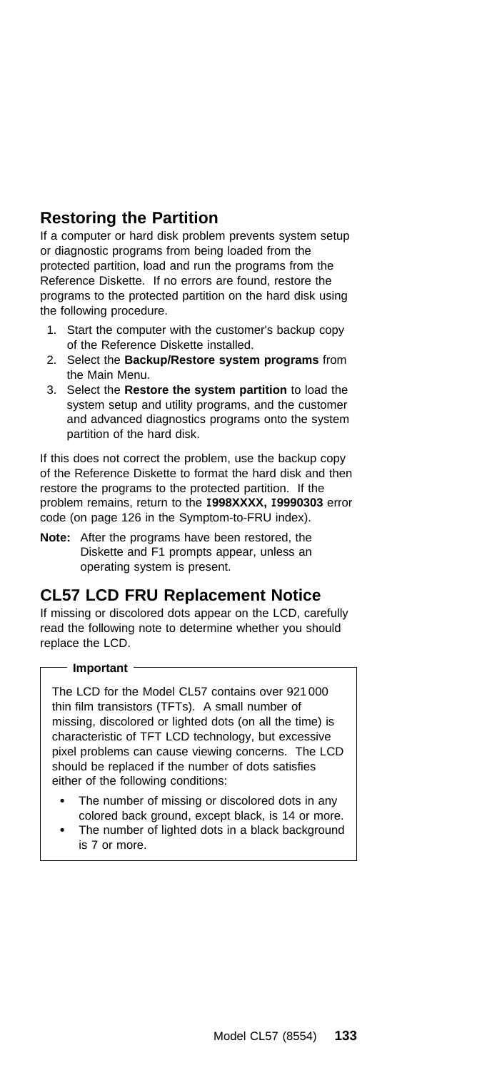### **Restoring the Partition**

If a computer or hard disk problem prevents system setup or diagnostic programs from being loaded from the protected partition, load and run the programs from the Reference Diskette. If no errors are found, restore the programs to the protected partition on the hard disk using the following procedure.

- 1. Start the computer with the customer's backup copy of the Reference Diskette installed.
- 2. Select the **Backup/Restore system programs** from the Main Menu.
- 3. Select the **Restore the system partition** to load the system setup and utility programs, and the customer and advanced diagnostics programs onto the system partition of the hard disk.

If this does not correct the problem, use the backup copy of the Reference Diskette to format the hard disk and then restore the programs to the protected partition. If the problem remains, return to the **I998XXXX, I9990303** error code (on page 126 in the Symptom-to-FRU index).

**Note:** After the programs have been restored, the Diskette and F1 prompts appear, unless an operating system is present.

### **CL57 LCD FRU Replacement Notice**

If missing or discolored dots appear on the LCD, carefully read the following note to determine whether you should replace the LCD.

#### **Important**

The LCD for the Model CL57 contains over 921 000 thin film transistors (TFTs). A small number of missing, discolored or lighted dots (on all the time) is characteristic of TFT LCD technology, but excessive pixel problems can cause viewing concerns. The LCD should be replaced if the number of dots satisfies either of the following conditions:

- The number of missing or discolored dots in any colored back ground, except black, is 14 or more.
- The number of lighted dots in a black background is 7 or more.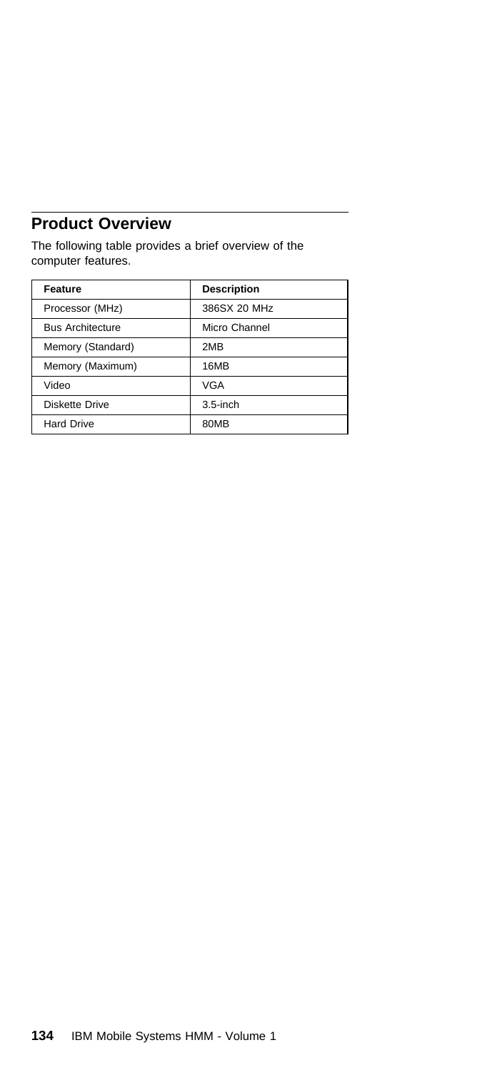### **Product Overview**

The following table provides a brief overview of the computer features.

| Feature                 | <b>Description</b> |
|-------------------------|--------------------|
| Processor (MHz)         | 386SX 20 MHz       |
| <b>Bus Architecture</b> | Micro Channel      |
| Memory (Standard)       | 2MB                |
| Memory (Maximum)        | 16MB               |
| Video                   | VGA                |
| Diskette Drive          | $3.5$ -inch        |
| <b>Hard Drive</b>       | 80MB               |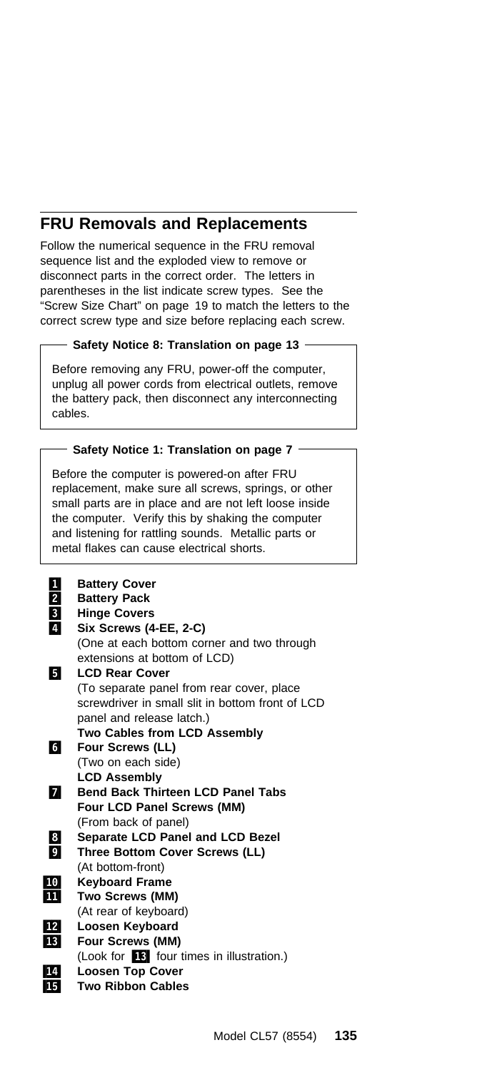### **FRU Removals and Replacements**

Follow the numerical sequence in the FRU removal sequence list and the exploded view to remove or disconnect parts in the correct order. The letters in parentheses in the list indicate screw types. See the "Screw Size Chart" on page 19 to match the letters to the correct screw type and size before replacing each screw.

#### **Safety Notice 8: Translation on page 13**

Before removing any FRU, power-off the computer, unplug all power cords from electrical outlets, remove the battery pack, then disconnect any interconnecting cables.

#### **Safety Notice 1: Translation on page 7 -**

Before the computer is powered-on after FRU replacement, make sure all screws, springs, or other small parts are in place and are not left loose inside the computer. Verify this by shaking the computer and listening for rattling sounds. Metallic parts or metal flakes can cause electrical shorts.

| 1                       | <b>Battery Cover</b>                             |
|-------------------------|--------------------------------------------------|
| $\mathbf{2}$            | <b>Battery Pack</b>                              |
| $\overline{\mathbf{3}}$ | <b>Hinge Covers</b>                              |
| $\overline{a}$          | Six Screws (4-EE, 2-C)                           |
|                         | (One at each bottom corner and two through       |
|                         | extensions at bottom of LCD)                     |
| Ы                       | <b>LCD Rear Cover</b>                            |
|                         | (To separate panel from rear cover, place        |
|                         | screwdriver in small slit in bottom front of LCD |
|                         | panel and release latch.)                        |
|                         | <b>Two Cables from LCD Assembly</b>              |
| 61                      | <b>Four Screws (LL)</b>                          |
|                         | (Two on each side)                               |
|                         | <b>LCD Assembly</b>                              |
| И                       | <b>Bend Back Thirteen LCD Panel Tabs</b>         |
|                         | <b>Four LCD Panel Screws (MM)</b>                |
|                         | (From back of panel)                             |
| $\overline{\mathbf{8}}$ | Separate LCD Panel and LCD Bezel                 |
| $\overline{9}$          | Three Bottom Cover Screws (LL)                   |
|                         | (At bottom-front)                                |
| 10                      | <b>Keyboard Frame</b>                            |
| 11                      | Two Screws (MM)                                  |
|                         | (At rear of keyboard)                            |
| 12                      | Loosen Keyboard                                  |
| <b>13</b>               | <b>Four Screws (MM)</b>                          |
|                         | (Look for <b>18</b> four times in illustration.) |
| 14                      | <b>Loosen Top Cover</b>                          |
| 15                      | <b>Two Ribbon Cables</b>                         |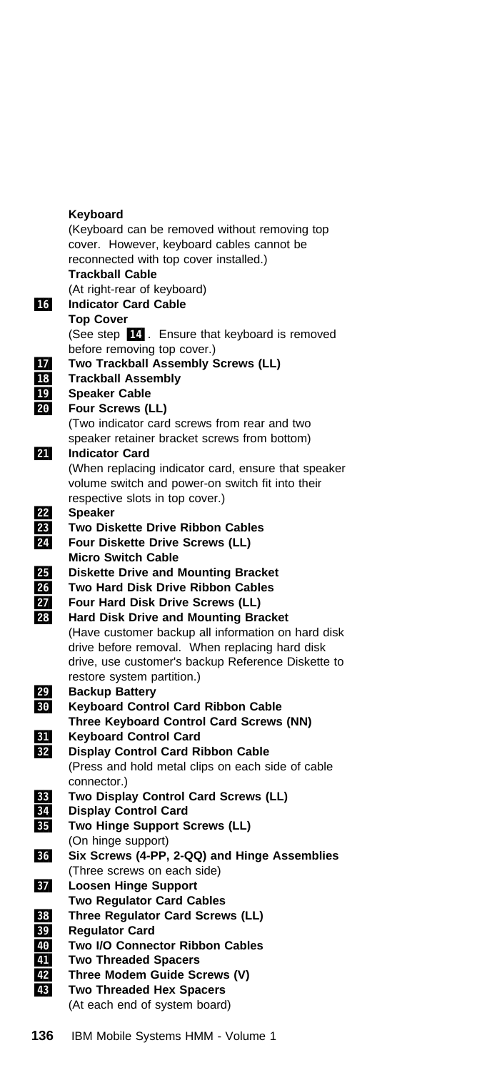#### **Keyboard**

(Keyboard can be removed without removing top cover. However, keyboard cables cannot be reconnected with top cover installed.)  **Trackball Cable** (At right-rear of keyboard) .16/ **Indicator Card Cable Top Cover** (See step  $\boxed{14}$ . Ensure that keyboard is removed before removing top cover.) **17** Two Trackball Assembly Screws (LL) .18/ **Trackball Assembly** .19/ **Speaker Cable** .2ð/ **Four Screws (LL)** (Two indicator card screws from rear and two speaker retainer bracket screws from bottom) 21 **Indicator Card** (When replacing indicator card, ensure that speaker volume switch and power-on switch fit into their respective slots in top cover.) .22/ **Speaker 23** Two Diskette Drive Ribbon Cables .24/ **Four Diskette Drive Screws (LL) Micro Switch Cable** .25/ **Diskette Drive and Mounting Bracket** .26/ **Two Hard Disk Drive Ribbon Cables** .27/ **Four Hard Disk Drive Screws (LL) 28** Hard Disk Drive and Mounting Bracket (Have customer backup all information on hard disk drive before removal. When replacing hard disk drive, use customer's backup Reference Diskette to restore system partition.) .29/ **Backup Battery** .3ð/ **Keyboard Control Card Ribbon Cable Three Keyboard Control Card Screws (NN)** .31/ **Keyboard Control Card** .32/ **Display Control Card Ribbon Cable** (Press and hold metal clips on each side of cable connector.) **33** Two Display Control Card Screws (LL) .34/ **Display Control Card 35** Two Hinge Support Screws (LL) (On hinge support) .36/ **Six Screws (4-PP, 2-QQ) and Hinge Assemblies** (Three screws on each side) .37/ **Loosen Hinge Support Two Regulator Card Cables** .38/ **Three Regulator Card Screws (LL)** .39/ **Regulator Card 40** Two I/O Connector Ribbon Cables .41/ **Two Threaded Spacers 42** Three Modem Guide Screws (V) **43** Two Threaded Hex Spacers (At each end of system board)

**136** IBM Mobile Systems HMM - Volume 1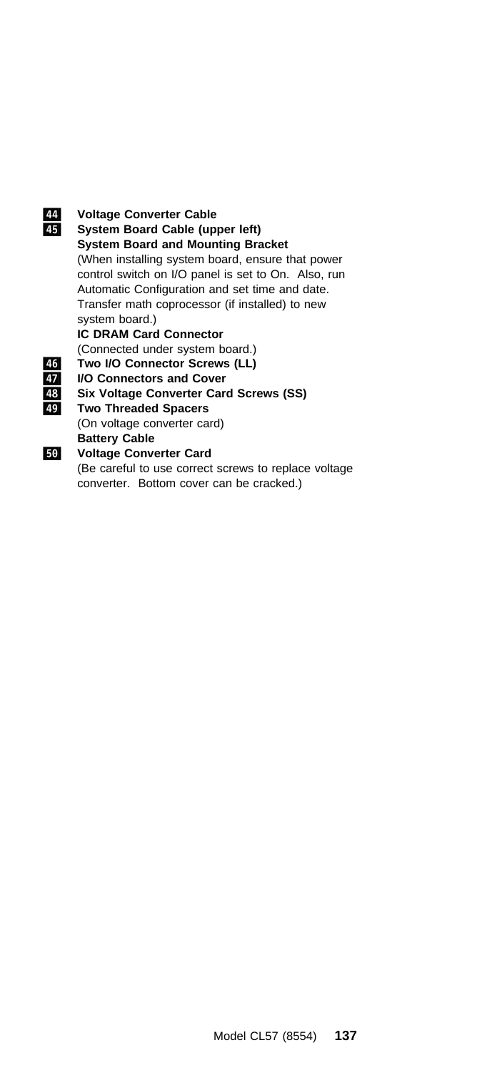#### .44/ **Voltage Converter Cable** .45/ **System Board Cable (upper left) System Board and Mounting Bracket** (When installing system board, ensure that power control switch on I/O panel is set to On. Also, run Automatic Configuration and set time and date. Transfer math coprocessor (if installed) to new system board.) **IC DRAM Card Connector** (Connected under system board.) .46/ **Two I/O Connector Screws (LL)** .47/ **I/O Connectors and Cover 48** Six Voltage Converter Card Screws (SS)<br>**49** Two Threaded Spacers .49/ **Two Threaded Spacers** (On voltage converter card) **Battery Cable**<br>**50** Voltage Conve .5ð/ **Voltage Converter Card** (Be careful to use correct screws to replace voltage

converter. Bottom cover can be cracked.)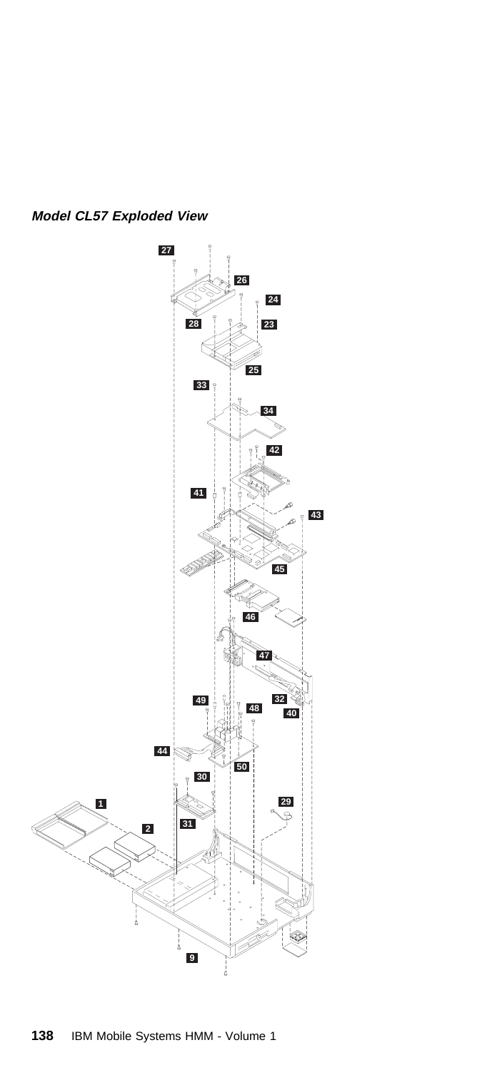

**Model CL57 Exploded View**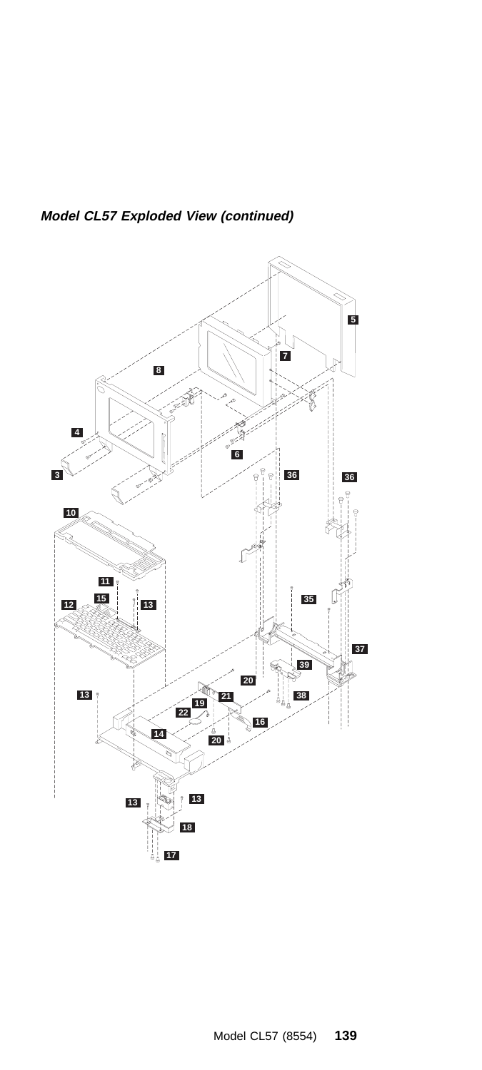

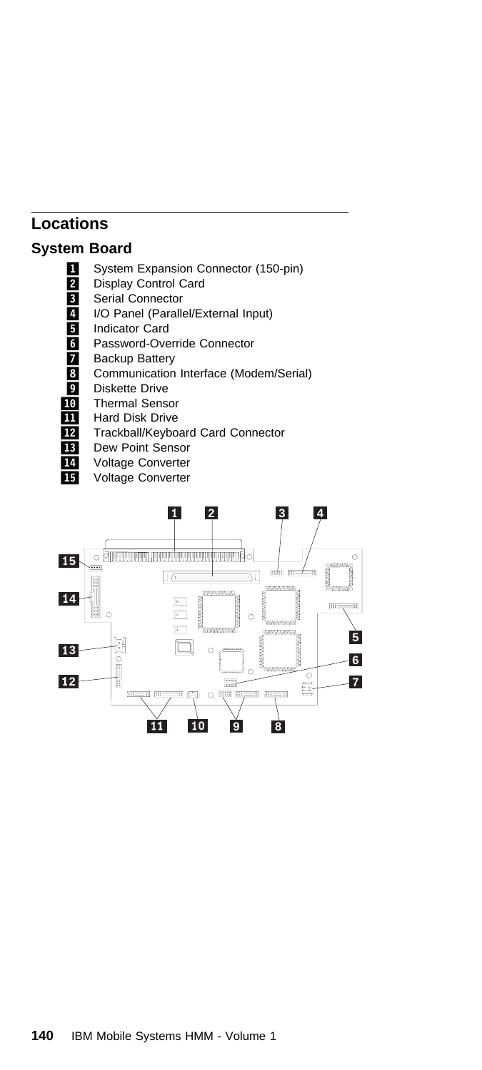### **Locations**

### **System Board**

- System Expansion Connector (150-pin)<br>2 Display Control Card
- Display Control Card
- **3** Serial Connector
- 1/ I/O Panel (Parallel/External Input)
- 5 Indicator Card
- **6** Password-Override Connector
- **7** Backup Battery
- 8 Communication Interface (Modem/Serial)<br>9 Diskette Drive
- Diskette Drive
- 10 Thermal Sensor
- **11** Hard Disk Drive
- 12 Trackball/Keyboard Card Connector
- **13** Dew Point Sensor<br>**14** Voltage Converter
	- Voltage Converter
- 15 Voltage Converter

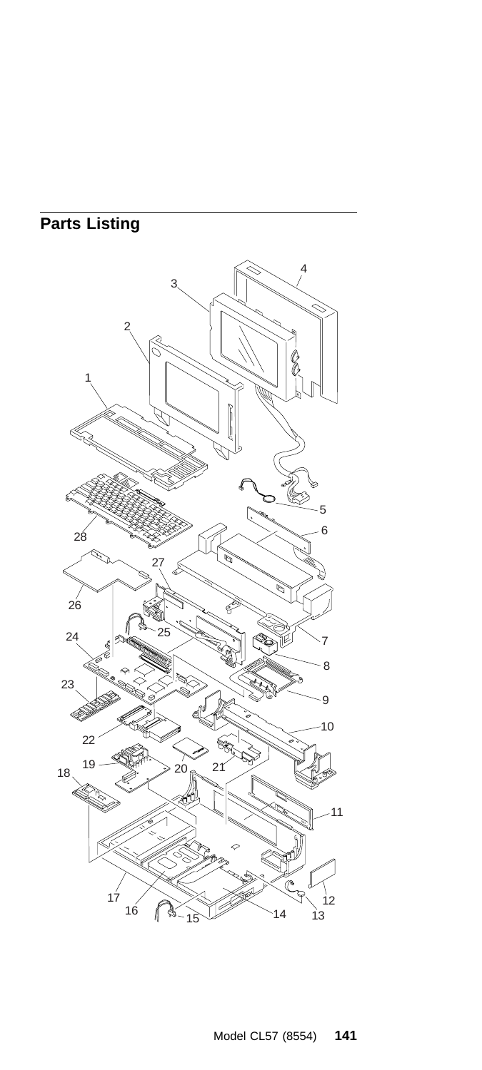## **Parts Listing**

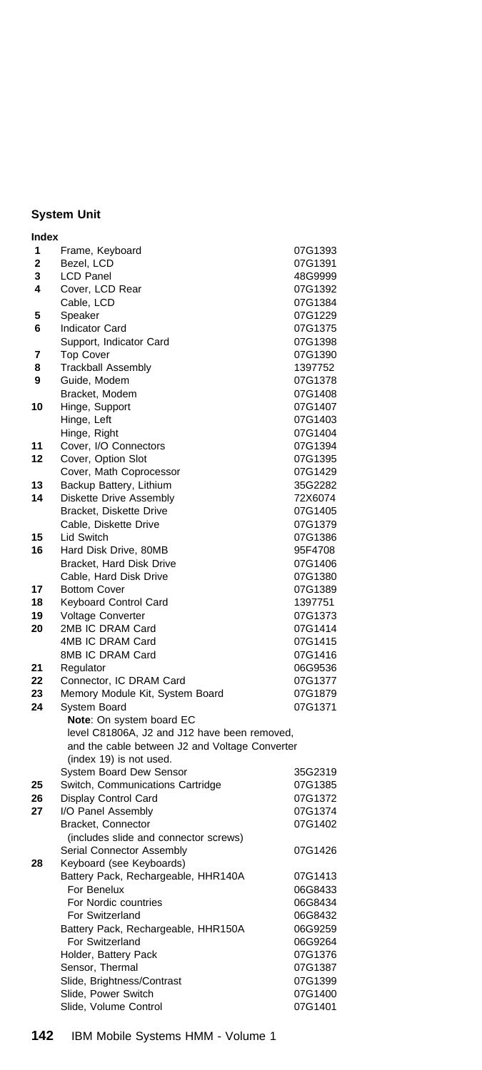### **System Unit**

| Index          |                                                                          |                    |
|----------------|--------------------------------------------------------------------------|--------------------|
| 1              | Frame, Keyboard                                                          | 07G1393            |
| $\overline{2}$ | Bezel, LCD                                                               | 07G1391            |
| 3              | LCD Panel                                                                | 48G9999            |
| 4              | Cover, LCD Rear                                                          | 07G1392            |
|                | Cable, LCD                                                               | 07G1384            |
| 5              | Speaker                                                                  | 07G1229            |
| 6              | <b>Indicator Card</b>                                                    | 07G1375            |
|                | Support, Indicator Card                                                  | 07G1398            |
| 7              | <b>Top Cover</b>                                                         | 07G1390            |
| 8              | <b>Trackball Assembly</b>                                                | 1397752            |
| 9              | Guide, Modem                                                             | 07G1378            |
|                | Bracket, Modem                                                           | 07G1408            |
| 10             | Hinge, Support                                                           | 07G1407            |
|                | Hinge, Left                                                              | 07G1403            |
|                | Hinge, Right                                                             | 07G1404            |
| 11             | Cover, I/O Connectors                                                    | 07G1394            |
| 12             | Cover, Option Slot                                                       | 07G1395            |
|                | Cover, Math Coprocessor                                                  | 07G1429            |
| 13             | Backup Battery, Lithium                                                  | 35G2282            |
| 14             | Diskette Drive Assembly                                                  | 72X6074            |
|                | Bracket, Diskette Drive                                                  | 07G1405            |
|                | Cable, Diskette Drive                                                    | 07G1379            |
| 15             | Lid Switch                                                               | 07G1386            |
| 16             | Hard Disk Drive, 80MB                                                    | 95F4708            |
|                | Bracket, Hard Disk Drive                                                 | 07G1406            |
|                | Cable, Hard Disk Drive                                                   | 07G1380            |
| 17             | <b>Bottom Cover</b>                                                      | 07G1389            |
| 18             | Keyboard Control Card                                                    | 1397751            |
| 19             | Voltage Converter                                                        | 07G1373            |
| 20             | 2MB IC DRAM Card                                                         | 07G1414            |
|                | 4MB IC DRAM Card                                                         | 07G1415            |
|                | 8MB IC DRAM Card                                                         | 07G1416            |
| 21             | Regulator                                                                | 06G9536            |
| 22             | Connector, IC DRAM Card                                                  | 07G1377            |
| 23<br>24       | Memory Module Kit, System Board<br>System Board                          | 07G1879<br>07G1371 |
|                |                                                                          |                    |
|                | Note: On system board EC<br>level C81806A, J2 and J12 have been removed, |                    |
|                | and the cable between J2 and Voltage Converter                           |                    |
|                | (index 19) is not used.                                                  |                    |
|                | System Board Dew Sensor                                                  | 35G2319            |
| 25             | Switch, Communications Cartridge                                         | 07G1385            |
| 26             | Display Control Card                                                     | 07G1372            |
| 27             | I/O Panel Assembly                                                       | 07G1374            |
|                | Bracket, Connector                                                       | 07G1402            |
|                | (includes slide and connector screws)                                    |                    |
|                | Serial Connector Assembly                                                | 07G1426            |
| 28             | Keyboard (see Keyboards)                                                 |                    |
|                | Battery Pack, Rechargeable, HHR140A                                      | 07G1413            |
|                | For Benelux                                                              | 06G8433            |
|                | For Nordic countries                                                     | 06G8434            |
|                | For Switzerland                                                          | 06G8432            |
|                | Battery Pack, Rechargeable, HHR150A                                      | 06G9259            |
|                | For Switzerland                                                          | 06G9264            |
|                | Holder, Battery Pack                                                     | 07G1376            |
|                | Sensor, Thermal                                                          | 07G1387            |
|                | Slide, Brightness/Contrast                                               | 07G1399            |
|                | Slide, Power Switch                                                      | 07G1400            |
|                | Slide, Volume Control                                                    | 07G1401            |